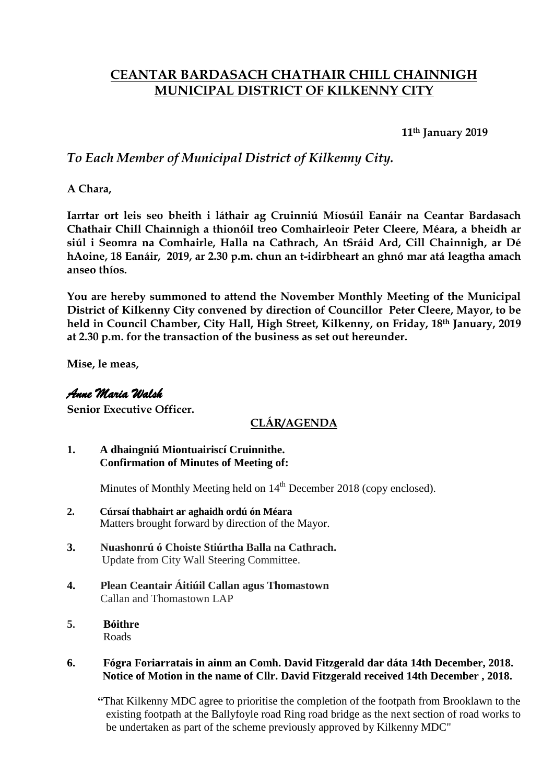# **CEANTAR BARDASACH CHATHAIR CHILL CHAINNIGH MUNICIPAL DISTRICT OF KILKENNY CITY**

**11th January 2019**

## *To Each Member of Municipal District of Kilkenny City.*

**A Chara,**

**Iarrtar ort leis seo bheith i láthair ag Cruinniú Míosúil Eanáir na Ceantar Bardasach Chathair Chill Chainnigh a thionóil treo Comhairleoir Peter Cleere, Méara, a bheidh ar siúl i Seomra na Comhairle, Halla na Cathrach, An tSráid Ard, Cill Chainnigh, ar Dé hAoine, 18 Eanáir, 2019, ar 2.30 p.m. chun an t-idirbheart an ghnó mar atá leagtha amach anseo thíos.**

**You are hereby summoned to attend the November Monthly Meeting of the Municipal District of Kilkenny City convened by direction of Councillor Peter Cleere, Mayor, to be held in Council Chamber, City Hall, High Street, Kilkenny, on Friday, 18th January, 2019 at 2.30 p.m. for the transaction of the business as set out hereunder.**

**Mise, le meas,**

### *Anne Maria Walsh*

**Senior Executive Officer.**

### **CLÁR/AGENDA**

**1. A dhaingniú Miontuairiscí Cruinnithe. Confirmation of Minutes of Meeting of:**

Minutes of Monthly Meeting held on 14<sup>th</sup> December 2018 (copy enclosed).

- **2. Cúrsaí thabhairt ar aghaidh ordú ón Méara** Matters brought forward by direction of the Mayor.
- **3. Nuashonrú ó Choiste Stiúrtha Balla na Cathrach.** Update from City Wall Steering Committee.
- **4. Plean Ceantair Áitiúil Callan agus Thomastown** Callan and Thomastown LAP
- **5. Bóithre** Roads

#### **6. Fógra Foriarratais in ainm an Comh. David Fitzgerald dar dáta 14th December, 2018. Notice of Motion in the name of Cllr. David Fitzgerald received 14th December , 2018.**

 **"**That Kilkenny MDC agree to prioritise the completion of the footpath from Brooklawn to the existing footpath at the Ballyfoyle road Ring road bridge as the next section of road works to be undertaken as part of the scheme previously approved by Kilkenny MDC"